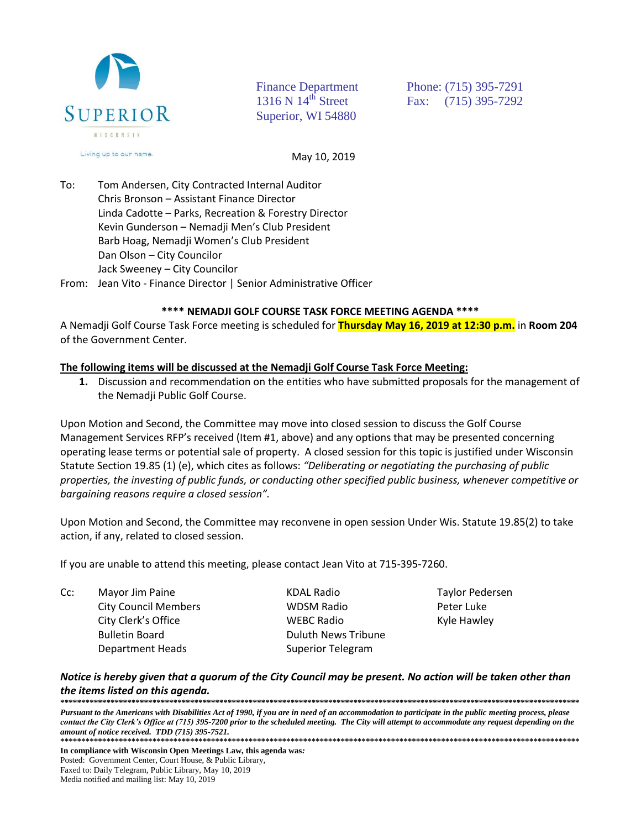

Superior, WI 54880

Finance Department Phone: (715) 395-7291 1316 N 14<sup>th</sup> Street Fax: (715) 395-7292

May 10, 2019

To: Tom Andersen, City Contracted Internal Auditor Chris Bronson – Assistant Finance Director Linda Cadotte – Parks, Recreation & Forestry Director Kevin Gunderson – Nemadji Men's Club President Barb Hoag, Nemadji Women's Club President Dan Olson – City Councilor Jack Sweeney – City Councilor From: Jean Vito - Finance Director | Senior Administrative Officer

## **\*\*\*\* NEMADJI GOLF COURSE TASK FORCE MEETING AGENDA \*\*\*\***

A Nemadji Golf Course Task Force meeting is scheduled for **Thursday May 16, 2019 at 12:30 p.m.** in **Room 204** of the Government Center.

## **The following items will be discussed at the Nemadji Golf Course Task Force Meeting:**

**1.** Discussion and recommendation on the entities who have submitted proposals for the management of the Nemadji Public Golf Course.

Upon Motion and Second, the Committee may move into closed session to discuss the Golf Course Management Services RFP's received (Item #1, above) and any options that may be presented concerning operating lease terms or potential sale of property. A closed session for this topic is justified under Wisconsin Statute Section 19.85 (1) (e), which cites as follows: *"Deliberating or negotiating the purchasing of public properties, the investing of public funds, or conducting other specified public business, whenever competitive or bargaining reasons require a closed session".*

Upon Motion and Second, the Committee may reconvene in open session Under Wis. Statute 19.85(2) to take action, if any, related to closed session.

If you are unable to attend this meeting, please contact Jean Vito at 715-395-7260.

Cc: Mayor Jim Paine **Mayor Access Access Access** Mayor Jim Paine Report Access Mayor Pedersen City Council Members WDSM Radio Peter Luke City Clerk's Office **City Clerk's Office** MEBC Radio **Kyle Hawley** Bulletin Board **Duluth News Tribune** Department Heads Superior Telegram

*Notice is hereby given that a quorum of the City Council may be present. No action will be taken other than the items listed on this agenda.* 

**\*\*\*\*\*\*\*\*\*\*\*\*\*\*\*\*\*\*\*\*\*\*\*\*\*\*\*\*\*\*\*\*\*\*\*\*\*\*\*\*\*\*\*\*\*\*\*\*\*\*\*\*\*\*\*\*\*\*\*\*\*\*\*\*\*\*\*\*\*\*\*\*\*\*\*\*\*\*\*\*\*\*\*\*\*\*\*\*\*\*\*\*\*\*\*\*\*\*\*\*\*\*\*\*\*\*\*\*\*\*\*\*\*\*\*\*\*\*\*\*\*\*\*\*** *Pursuant to the Americans with Disabilities Act of 1990, if you are in need of an accommodation to participate in the public meeting process, please contact the City Clerk's Office at (715) 395-7200 prior to the scheduled meeting. The City will attempt to accommodate any request depending on the amount of notice received. TDD (715) 395-7521.* **\*\*\*\*\*\*\*\*\*\*\*\*\*\*\*\*\*\*\*\*\*\*\*\*\*\*\*\*\*\*\*\*\*\*\*\*\*\*\*\*\*\*\*\*\*\*\*\*\*\*\*\*\*\*\*\*\*\*\*\*\*\*\*\*\*\*\*\*\*\*\*\*\*\*\*\*\*\*\*\*\*\*\*\*\*\*\*\*\*\*\*\*\*\*\*\*\*\*\*\*\*\*\*\*\*\*\*\*\*\*\*\*\*\*\*\*\*\*\*\*\*\*\*\***

**In compliance with Wisconsin Open Meetings Law, this agenda was***:* Posted: Government Center, Court House, & Public Library*,* Faxed to: Daily Telegram, Public Library, May 10, 2019 Media notified and mailing list: May 10, 2019